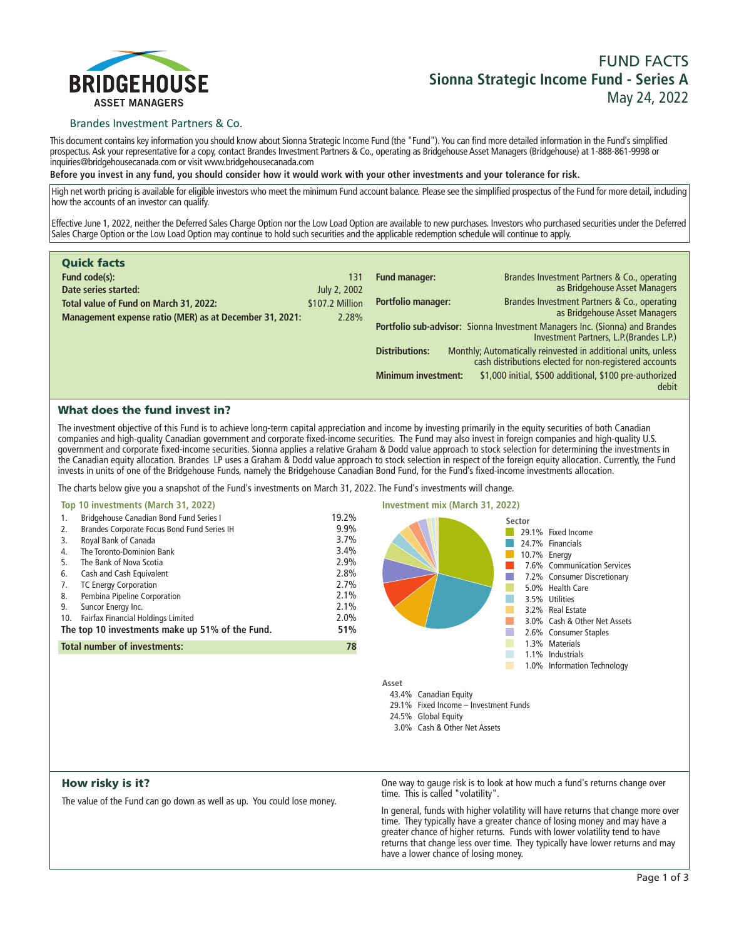

# Brandes Investment Partners & Co.

**This document contains key information you should know about Sionna Strategic Income Fund (the "Fund"). You can find more detailed information in the Fund's simplified prospectus. Ask your representative for a copy, contact Brandes Investment Partners & Co., operating as Bridgehouse Asset Managers (Bridgehouse) at 1-888-861-9998 or inquiries@bridgehousecanada.com or visit www.bridgehousecanada.com**

**Before you invest in any fund, you should consider how it would work with your other investments and your tolerance for risk.**

**High net worth pricing is available for eligible investors who meet the minimum Fund account balance. Please see the simplified prospectus of the Fund for more detail, including how the accounts of an investor can qualify.**

**Effective June 1, 2022, neither the Deferred Sales Charge Option nor the Low Load Option are available to new purchases. Investors who purchased securities under the Deferred Sales Charge Option or the Low Load Option may continue to hold such securities and the applicable redemption schedule will continue to apply.**

| <b>Quick facts</b>                                      |                 |                                                                                                                         |                                                                                                                         |  |
|---------------------------------------------------------|-----------------|-------------------------------------------------------------------------------------------------------------------------|-------------------------------------------------------------------------------------------------------------------------|--|
| Fund code(s):                                           | 131             | <b>Fund manager:</b>                                                                                                    | Brandes Investment Partners & Co., operating                                                                            |  |
| Date series started:                                    | July 2, 2002    |                                                                                                                         | as Bridgehouse Asset Managers                                                                                           |  |
| Total value of Fund on March 31, 2022:                  | \$107.2 Million | <b>Portfolio manager:</b>                                                                                               | Brandes Investment Partners & Co., operating                                                                            |  |
| Management expense ratio (MER) as at December 31, 2021: | 2.28%           |                                                                                                                         | as Bridgehouse Asset Managers                                                                                           |  |
|                                                         |                 | Portfolio sub-advisor: Sionna Investment Managers Inc. (Sionna) and Brandes<br>Investment Partners, L.P. (Brandes L.P.) |                                                                                                                         |  |
|                                                         |                 | <b>Distributions:</b>                                                                                                   | Monthly; Automatically reinvested in additional units, unless<br>cash distributions elected for non-registered accounts |  |
|                                                         |                 | <b>Minimum investment:</b>                                                                                              | \$1,000 initial, \$500 additional, \$100 pre-authorized<br>debit                                                        |  |

# What does the fund invest in?

**The investment objective of this Fund is to achieve long-term capital appreciation and income by investing primarily in the equity securities of both Canadian companies and high-quality Canadian government and corporate fixed-income securities. The Fund may also invest in foreign companies and high-quality U.S. government and corporate fixed-income securities. Sionna applies a relative Graham & Dodd value approach to stock selection for determining the investments in the Canadian equity allocation. Brandes LP uses a Graham & Dodd value approach to stock selection in respect of the foreign equity allocation. Currently, the Fund invests in units of one of the Bridgehouse Funds, namely the Bridgehouse Canadian Bond Fund, for the Fund's fixed-income investments allocation.**

**The charts below give you a snapshot of the Fund's investments on March 31, 2022. The Fund's investments will change.**

| Top 10 investments (March 31, 2022)                                                                                                                                                                                                                                                                                                                                                                                                                   |                                                                                      | Investment mix (March 31, 2022) |        |                                                                                                                                                                                                                                         |
|-------------------------------------------------------------------------------------------------------------------------------------------------------------------------------------------------------------------------------------------------------------------------------------------------------------------------------------------------------------------------------------------------------------------------------------------------------|--------------------------------------------------------------------------------------|---------------------------------|--------|-----------------------------------------------------------------------------------------------------------------------------------------------------------------------------------------------------------------------------------------|
| <b>Bridgehouse Canadian Bond Fund Series I</b><br>1.<br>Brandes Corporate Focus Bond Fund Series IH<br>2.<br>Royal Bank of Canada<br>3.<br>The Toronto-Dominion Bank<br>4.<br>The Bank of Nova Scotia<br>5.<br>Cash and Cash Equivalent<br>6.<br><b>TC Energy Corporation</b><br>7.<br>Pembina Pipeline Corporation<br>8.<br>9.<br>Suncor Energy Inc.<br>Fairfax Financial Holdings Limited<br>10.<br>The top 10 investments make up 51% of the Fund. | 19.2%<br>9.9%<br>3.7%<br>3.4%<br>2.9%<br>2.8%<br>2.7%<br>2.1%<br>2.1%<br>2.0%<br>51% |                                 | Sector | 29.1% Fixed Income<br>24.7% Financials<br>10.7% Energy<br>7.6% Communication Services<br>7.2% Consumer Discretionary<br>5.0% Health Care<br>3.5% Utilities<br>3.2% Real Estate<br>3.0% Cash & Other Net Assets<br>2.6% Consumer Staples |
| <b>Total number of investments:</b>                                                                                                                                                                                                                                                                                                                                                                                                                   | 78                                                                                   |                                 |        | .3% Materials<br>.1% Industrials                                                                                                                                                                                                        |
|                                                                                                                                                                                                                                                                                                                                                                                                                                                       |                                                                                      |                                 |        | .0% Information Technology                                                                                                                                                                                                              |
|                                                                                                                                                                                                                                                                                                                                                                                                                                                       |                                                                                      | Asset                           |        |                                                                                                                                                                                                                                         |
|                                                                                                                                                                                                                                                                                                                                                                                                                                                       |                                                                                      | 43.4% Canadian Equity           |        |                                                                                                                                                                                                                                         |

# How risky is it?

**The value of the Fund can go down as well as up. You could lose money.**

**One way to gauge risk is to look at how much a fund's returns change over time. This is called "volatility".**

**29.1% Fixed Income – Investment Funds**

**3.0% Cash & Other Net Assets**

**24.5% Global Equity**

**In general, funds with higher volatility will have returns that change more over time. They typically have a greater chance of losing money and may have a greater chance of higher returns. Funds with lower volatility tend to have returns that change less over time. They typically have lower returns and may have a lower chance of losing money.**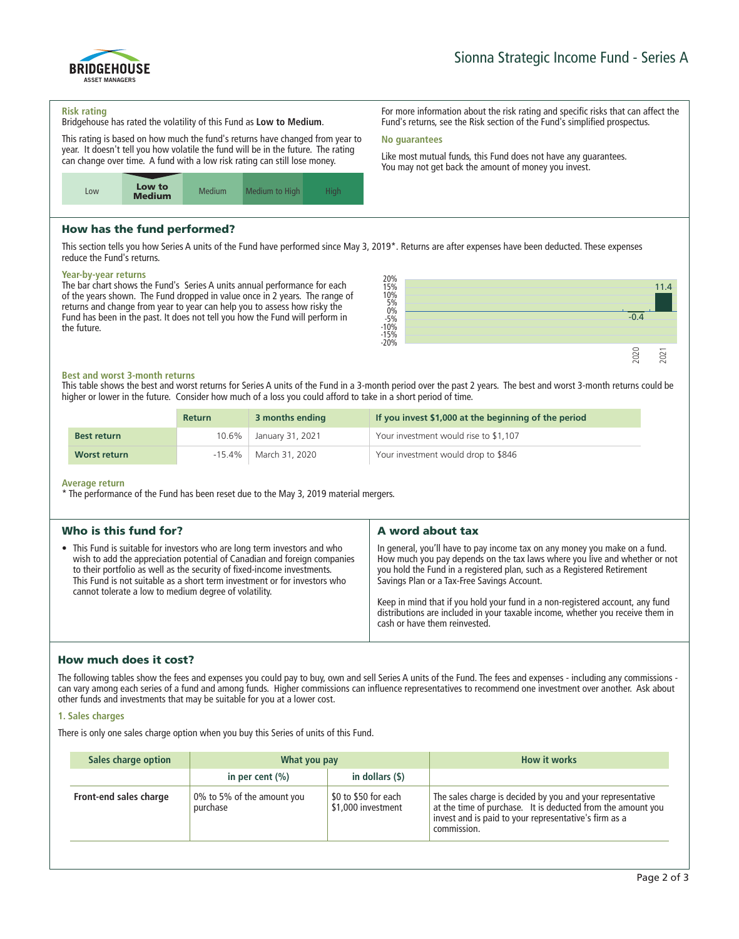

# BRIDGEHOUSE ASSET MANAGERS

## **Risk rating**

**Bridgehouse has rated the volatility of this Fund as Low to Medium.**

**This rating is based on how much the fund's returns have changed from year to year. It doesn't tell you how volatile the fund will be in the future. The rating can change over time. A fund with a low risk rating can still lose money.**



# How has the fund performed?

**This section tells you how Series A units of the Fund have performed since May 3, 2019\*. Returns are after expenses have been deducted. These expenses reduce the Fund's returns.**

## **Year-by-year returns**

**The bar chart shows the Fund's Series A units annual performance for each of the years shown. The Fund dropped in value once in 2 years. The range of returns and change from year to year can help you to assess how risky the Fund has been in the past. It does not tell you how the Fund will perform in the future.**



# **Best and worst 3-month returns**

**This table shows the best and worst returns for Series A units of the Fund in a 3-month period over the past 2 years. The best and worst 3-month returns could be higher or lower in the future. Consider how much of a loss you could afford to take in a short period of time.**

|                    | <b>Return</b> | 3 months ending  | If you invest \$1,000 at the beginning of the period |
|--------------------|---------------|------------------|------------------------------------------------------|
| <b>Best return</b> | 10.6%         | January 31, 2021 | Your investment would rise to \$1,107                |
| Worst return       | $-15.4\%$     | March 31, 2020   | Your investment would drop to \$846                  |

## **Average return**

**\* The performance of the Fund has been reset due to the May 3, 2019 material mergers.**

| Who is this fund for?                                                                                                                                                                                                                                                                                                                                                  | A word about tax                                                                                                                                                                                                                                                                                                                                                                                                                                                                       |
|------------------------------------------------------------------------------------------------------------------------------------------------------------------------------------------------------------------------------------------------------------------------------------------------------------------------------------------------------------------------|----------------------------------------------------------------------------------------------------------------------------------------------------------------------------------------------------------------------------------------------------------------------------------------------------------------------------------------------------------------------------------------------------------------------------------------------------------------------------------------|
| • This Fund is suitable for investors who are long term investors and who<br>wish to add the appreciation potential of Canadian and foreign companies<br>to their portfolio as well as the security of fixed-income investments.<br>This Fund is not suitable as a short term investment or for investors who<br>cannot tolerate a low to medium degree of volatility. | In general, you'll have to pay income tax on any money you make on a fund.<br>How much you pay depends on the tax laws where you live and whether or not<br>you hold the Fund in a registered plan, such as a Registered Retirement<br>Savings Plan or a Tax-Free Savings Account.<br>Keep in mind that if you hold your fund in a non-registered account, any fund<br>distributions are included in your taxable income, whether you receive them in<br>cash or have them reinvested. |
|                                                                                                                                                                                                                                                                                                                                                                        |                                                                                                                                                                                                                                                                                                                                                                                                                                                                                        |

# How much does it cost?

**The following tables show the fees and expenses you could pay to buy, own and sell Series A units of the Fund. The fees and expenses - including any commissions can vary among each series of a fund and among funds. Higher commissions can influence representatives to recommend one investment over another. Ask about other funds and investments that may be suitable for you at a lower cost.**

# **1. Sales charges**

**There is only one sales charge option when you buy this Series of units of this Fund.**

| Sales charge option    | What you pay                           |                                            | <b>How it works</b>                                                                                                                                                                               |
|------------------------|----------------------------------------|--------------------------------------------|---------------------------------------------------------------------------------------------------------------------------------------------------------------------------------------------------|
|                        | in per cent $(\% )$                    | in dollars (\$)                            |                                                                                                                                                                                                   |
| Front-end sales charge | 0% to 5% of the amount you<br>purchase | \$0 to \$50 for each<br>\$1,000 investment | The sales charge is decided by you and your representative<br>at the time of purchase. It is deducted from the amount you<br>invest and is paid to your representative's firm as a<br>commission. |

**For more information about the risk rating and specific risks that can affect the Fund's returns, see the Risk section of the Fund's simplified prospectus.**

# **No guarantees**

**Like most mutual funds, this Fund does not have any guarantees. You may not get back the amount of money you invest.**